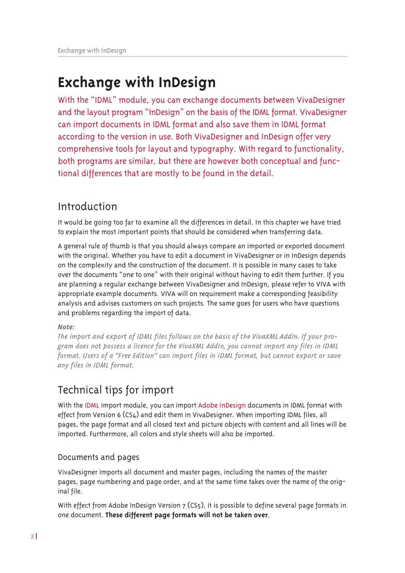With the "IDML" module, you can exchange documents between VivaDesigner and the layout program "InDesign" on the basis of the IDML format. VivaDesigner can import documents in IDML format and also save them in IDML format according to the version in use. Both VivaDesigner and InDesign offer very comprehensive tools for layout and typography. With regard to functionality, both programs are similar, but there are however both conceptual and functional differences that are mostly to be found in the detail.

## Introduction

It would be going too far to examine all the differences in detail. In this chapter we have tried to explain the most important points that should be considered when transferring data.

A general rule of thumb is that you should always compare an imported or exported document with the original. Whether you have to edit a document in VivaDesigner or in InDesign depends on the complexity and the construction of the document. It is possible in many cases to take over the documents "one to one" with their original without having to edit them further. If you are planning a regular exchange between VivaDesigner and InDesign, please refer to VIVA with appropriate example documents. VIVA will on requirement make a corresponding feasibility analysis and advises customers on such projects. The same goes for users who have questions and problems regarding the import of data.

### Note:

The import and export of IDML files follows on the basis of the VivaXML AddIn. If your program does not possess a licence for the VivaXML AddIn, you cannot import any files in IDML format. Users of a "Free Edition" can import files in IDML format, but cannot export or save any files in IDML format.

## Technical tips for import

With the IDML import module, you can import Adobe InDesign documents in IDML format with effect from Version 6 (CS4) and edit them in VivaDesigner. When importing IDML files, all pages, the page format and all closed text and picture objects with content and all lines will be imported. Furthermore, all colors and style sheets will also be imported.

### Documents and pages

VivaDesigner imports all document and master pages, including the names of the master pages, page numbering and page order, and at the same time takes over the name of the original file.

With effect from Adobe InDesign Version 7 (CS5), it is possible to define several page formats in one document. These different page formats will not be taken over.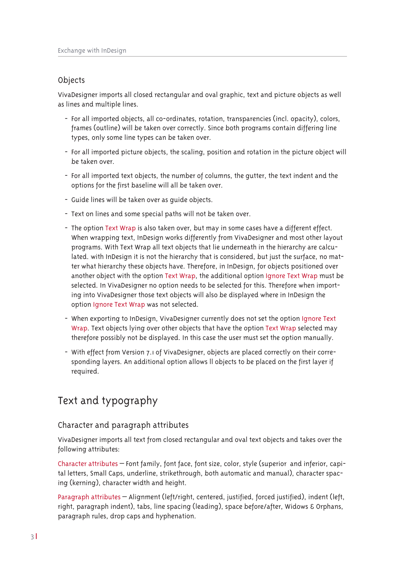### Objects

VivaDesigner imports all closed rectangular and oval graphic, text and picture objects as well as lines and multiple lines.

- For all imported objects, all co-ordinates, rotation, transparencies (incl. opacity), colors, frames (outline) will be taken over correctly. Since both programs contain differing line types, only some line types can be taken over.
- For all imported picture objects, the scaling, position and rotation in the picture object will be taken over.
- For all imported text objects, the number of columns, the gutter, the text indent and the options for the first baseline will all be taken over.
- Guide lines will be taken over as quide objects.
- Text on lines and some special paths will not be taken over.
- The option Text Wrap is also taken over, but may in some cases have a different effect. When wrapping text, InDesign works differently from VivaDesigner and most other layout programs. With Text Wrap all text objects that lie underneath in the hierarchy are calculated. with InDesign it is not the hierarchy that is considered, but just the surface, no matter what hierarchy these objects have. Therefore, in InDesign, for objects positioned over another object with the option Text Wrap, the additional option Ignore Text Wrap must be selected. In VivaDesigner no option needs to be selected for this. Therefore when importing into VivaDesigner those text objects will also be displayed where in InDesign the option Ignore Text Wrap was not selected.
- When exporting to InDesign, VivaDesigner currently does not set the option Ignore Text Wrap. Text objects lying over other objects that have the option Text Wrap selected may therefore possibly not be displayed. In this case the user must set the option manually.
- With effect from Version 7.1 of VivaDesigner, objects are placed correctly on their corresponding layers. An additional option allows II objects to be placed on the first layer if required.

### Text and typography

### Character and paragraph attributes

VivaDesigner imports all text from closed rectangular and oval text objects and takes over the following attributes:

Character attributes – Font family, font face, font size, color, style (superior and inferior, capital letters. Small Caps, underline, strikethrough, both automatic and manual), character spacing (kerning), character width and height.

Paragraph attributes - Alignment (left/right, centered, justified, forced justified), indent (left, right, paragraph indent), tabs, line spacing (leading), space before/after, Widows & Orphans, paragraph rules, drop caps and hyphenation.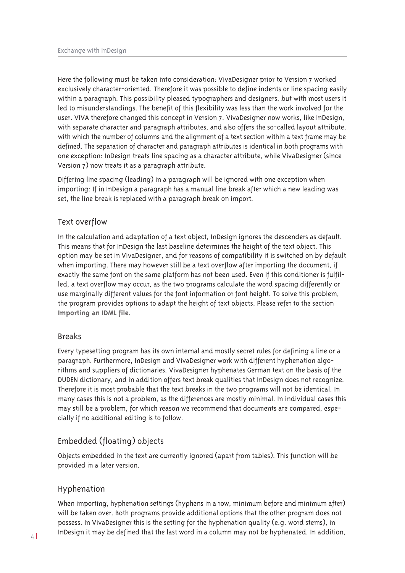Here the following must be taken into consideration: VivaDesigner prior to Version 7 worked exclusively character-oriented. Therefore it was possible to define indents or line spacing easily within a paragraph. This possibility pleased typographers and designers, but with most users it led to misunderstandings. The benefit of this flexibility was less than the work involved for the user. VIVA therefore changed this concept in Version 7. VivaDesigner now works, like InDesign, with separate character and paragraph attributes, and also offers the so-called layout attribute, with which the number of columns and the alignment of a text section within a text frame may be defined. The separation of character and paragraph attributes is identical in both programs with one exception: InDesign treats line spacing as a character attribute, while VivaDesigner (since Version 7) now treats it as a paragraph attribute.

Differing line spacing (leading) in a paragraph will be ignored with one exception when importing: If in InDesign a paragraph has a manual line break after which a new leading was set, the line break is replaced with a paragraph break on import.

### Text overflow

In the calculation and adaptation of a text object, InDesign ignores the descenders as default. This means that for InDesign the last baseline determines the height of the text object. This option may be set in VivaDesigner, and for reasons of compatibility it is switched on by default when importing. There may however still be a text overflow after importing the document, if exactly the same font on the same platform has not been used. Even if this conditioner is fulfilled, a text overflow may occur, as the two programs calculate the word spacing differently or use marginally different values for the font information or font height. To solve this problem, the program provides options to adapt the height of text objects. Please refer to the section Importing an IDML file.

### **Breaks**

Every typesetting program has its own internal and mostly secret rules for defining a line or a paragraph. Furthermore, InDesign and VivaDesigner work with different hyphenation algorithms and suppliers of dictionaries. VivaDesigner hyphenates German text on the basis of the DUDEN dictionary, and in addition offers text break qualities that InDesign does not recognize. Therefore it is most probable that the text breaks in the two programs will not be identical. In many cases this is not a problem, as the differences are mostly minimal. In individual cases this may still be a problem, for which reason we recommend that documents are compared, especially if no additional editing is to follow.

### Embedded (floating) objects

Objects embedded in the text are currently ignored (apart from tables). This function will be provided in a later version.

### Hyphenation

When importing, hyphenation settings (hyphens in a row, minimum before and minimum after) will be taken over. Both programs provide additional options that the other program does not possess. In VivaDesigner this is the setting for the hyphenation quality (e.g. word stems), in InDesign it may be defined that the last word in a column may not be hyphenated. In addition,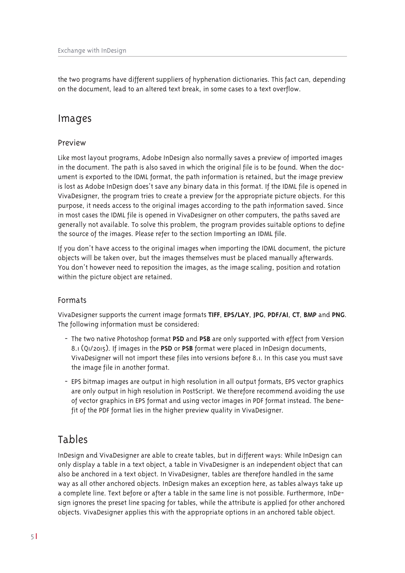the two programs have different suppliers of hyphenation dictionaries. This fact can, depending on the document. lead to an altered text break, in some cases to a text overflow.

### Images

### Preview

Like most layout programs, Adobe InDesign also normally saves a preview of imported images in the document. The path is also saved in which the original file is to be found. When the document is exported to the IDML format, the path information is retained, but the image preview is lost as Adobe InDesign does't save any binary data in this format. If the IDML file is opened in VivaDesigner, the program tries to create a preview for the appropriate picture objects. For this purpose, it needs access to the original images according to the path information saved. Since in most cases the IDML file is opened in VivaDesigner on other computers, the paths saved are generally not available. To solve this problem, the program provides suitable options to define the source of the images. Please refer to the section Importing an IDML file.

If you don't have access to the original images when importing the IDML document, the picture objects will be taken over, but the images themselves must be placed manually afterwards. You don't however need to reposition the images, as the image scaling, position and rotation within the picture object are retained.

### Formats

VivaDesigner supports the current image formats TIFF, EPS/LAY, JPG, PDF/AI, CT, BMP and PNG. The following information must be considered:

- The two native Photoshop format PSD and PSB are only supported with effect from Version 8.1 (Q1/2015). If images in the PSD or PSB format were placed in InDesign documents, VivaDesigner will not import these files into versions before 8.1. In this case you must save the image file in another format.
- EPS bitmap images are output in high resolution in all output formats, EPS vector graphics are only output in high resolution in PostScript. We therefore recommend avoiding the use of vector graphics in EPS format and using vector images in PDF format instead. The benefit of the PDF format lies in the higher preview quality in VivaDesigner.

### Tables

InDesign and VivaDesigner are able to create tables, but in different ways: While InDesign can only display a table in a text object, a table in VivaDesigner is an independent object that can also be anchored in a text object. In VivaDesigner, tables are therefore handled in the same way as all other anchored objects. InDesign makes an exception here, as tables always take up a complete line. Text before or after a table in the same line is not possible. Furthermore, InDesign ignores the preset line spacing for tables, while the attribute is applied for other anchored objects. VivaDesigner applies this with the appropriate options in an anchored table object.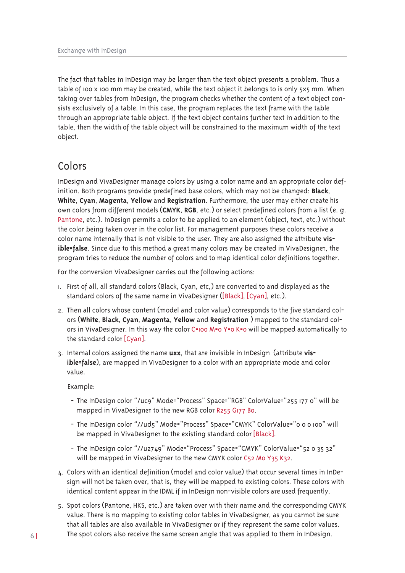The fact that tables in InDesign may be larger than the text object presents a problem. Thus a table of 100 x 100 mm may be created, while the text object it belongs to is only 5x5 mm. When taking over tables from InDesign, the program checks whether the content of a text object consists exclusively of a table. In this case, the program replaces the text frame with the table through an appropriate table object. If the text object contains further text in addition to the table, then the width of the table object will be constrained to the maximum width of the text object.

## Colors

InDesign and VivaDesigner manage colors by using a color name and an appropriate color definition. Both programs provide predefined base colors, which may not be changed: Black. White, Cyan, Magenta, Yellow and Registration. Furthermore, the user may either create his own colors from different models (CMYK, RGB, etc.) or select predefined colors from a list (e. g. Pantone, etc.). InDesign permits a color to be applied to an element (object, text, etc.) without the color being taken over in the color list. For management purposes these colors receive a color name internally that is not visible to the user. They are also assigned the attribute visible=false. Since due to this method a great many colors may be created in VivaDesigner, the program tries to reduce the number of colors and to map identical color definitions together.

For the conversion VivaDesigner carries out the following actions:

- I. First of all, all standard colors (Black, Cyan, etc,) are converted to and displayed as the standard colors of the same name in VivaDesigner ([Black], [Cyan], etc.).
- 2. Then all colors whose content (model and color value) corresponds to the five standard colors (White, Black, Cyan, Magenta, Yellow and Registration) mapped to the standard colors in VivaDesigner. In this way the color C=100 M=0 Y=0 K=0 will be mapped automatically to the standard color [Cyan].
- 3. Internal colors assigned the name uxx, that are invisible in InDesign (attribute visible=false), are mapped in VivaDesigner to a color with an appropriate mode and color value.

Example:

- The InDesign color "/uc9" Mode="Process" Space="RGB" ColorValue="255 177 0" will be mapped in VivaDesigner to the new RGB color R255 G177 Bo.
- The InDesign color "//ud5" Mode="Process" Space="CMYK" ColorValue="o o o 100" will be mapped in VivaDesigner to the existing standard color [Black].
- The InDesign color "//u2749" Mode="Process" Space="CMYK" ColorValue="52 0 35 32" will be mapped in VivaDesigner to the new CMYK color C52 Mo Y35 K32.
- 4. Colors with an identical definition (model and color value) that occur several times in InDesign will not be taken over, that is, they will be mapped to existing colors. These colors with identical content appear in the IDML if in InDesign non-visible colors are used frequently.
- 5. Spot colors (Pantone, HKS, etc.) are taken over with their name and the corresponding CMYK value. There is no mapping to existing color tables in VivaDesigner, as you cannot be sure that all tables are also available in VivaDesigner or if they represent the same color values. The spot colors also receive the same screen angle that was applied to them in InDesign.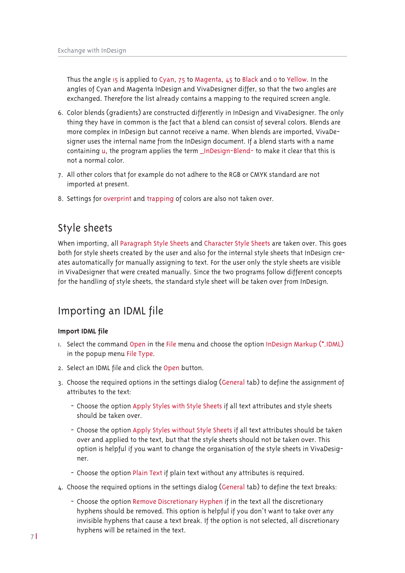Thus the angle 15 is applied to Cyan, 75 to Magenta, 45 to Black and o to Yellow. In the angles of Cyan and Magenta InDesign and VivaDesigner differ, so that the two angles are exchanged. Therefore the list already contains a mapping to the required screen angle.

- 6. Color blends (gradients) are constructed differently in InDesign and VivaDesigner. The only thing they have in common is the fact that a blend can consist of several colors. Blends are more complex in InDesign but cannot receive a name. When blends are imported, VivaDesigner uses the internal name from the InDesign document. If a blend starts with a name containing u, the program applies the term \_InDesign-Blend- to make it clear that this is not a normal color.
- 7. All other colors that for example do not adhere to the RGB or CMYK standard are not imported at present.
- 8. Settings for overprint and trapping of colors are also not taken over.

### Style sheets

When importing, all Paragraph Style Sheets and Character Style Sheets are taken over. This goes both for style sheets created by the user and also for the internal style sheets that InDesign creates automatically for manually assigning to text. For the user only the style sheets are visible in VivaDesigner that were created manually. Since the two programs follow different concepts for the handling of style sheets, the standard style sheet will be taken over from InDesign.

## Importing an IDML file

#### Import IDML file

- 1. Select the command Open in the File menu and choose the option InDesign Markup (\*.IDML) in the popup menu File Type.
- 2. Select an IDML file and click the Open button.
- 3. Choose the required options in the settings dialog (General tab) to define the assignment of attributes to the text:
	- Choose the option Apply Styles with Style Sheets if all text attributes and style sheets should be taken over.
	- Choose the option Apply Styles without Style Sheets if all text attributes should be taken over and applied to the text, but that the style sheets should not be taken over. This option is helpful if you want to change the organisation of the style sheets in VivaDesigner.
	- Choose the option Plain Text if plain text without any attributes is required.
- 4. Choose the required options in the settings dialog (General tab) to define the text breaks:
	- Choose the option Remove Discretionary Hyphen if in the text all the discretionary hyphens should be removed. This option is helpful if you don't want to take over any invisible hyphens that cause a text break. If the option is not selected, all discretionary hyphens will be retained in the text.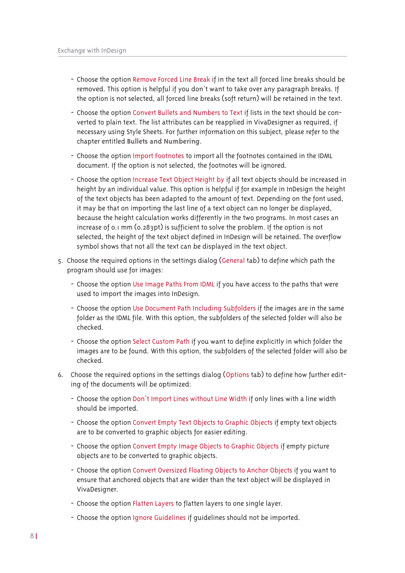- Choose the option Remove Forced Line Break if in the text all forced line breaks should be removed. This option is helpful if you don't want to take over any paragraph breaks. If the option is not selected, all forced line breaks (soft return) will be retained in the text.
- Choose the option Convert Bullets and Numbers to Text if lists in the text should be converted to plain text. The list attributes can be reapplied in VivaDesigner as required, if necessary using Style Sheets. For further information on this subject, please refer to the chapter entitled Bullets and Numbering.
- Choose the option Import Footnotes to import all the footnotes contained in the IDML document. If the option is not selected, the footnotes will be ignored.
- Choose the option Increase Text Object Height by if all text objects should be increased in height by an individual value. This option is helpful if for example in InDesign the height of the text objects has been adapted to the amount of text. Depending on the font used, it may be that on importing the last line of a text object can no longer be displayed, because the height calculation works differently in the two programs. In most cases an increase of 0.1 mm (0.283pt) is sufficient to solve the problem. If the option is not selected, the height of the text object defined in InDesign will be retained. The overflow symbol shows that not all the text can be displayed in the text object.
- 5. Choose the required options in the settings dialog (General tab) to define which path the program should use for images:
	- Choose the option Use Image Paths From IDML if you have access to the paths that were used to import the images into InDesign.
	- Choose the option Use Document Path Including Subfolders if the images are in the same folder as the IDML file. With this option, the subfolders of the selected folder will also be checked.
	- Choose the option Select Custom Path if you want to define explicitly in which folder the images are to be found. With this option, the subfolders of the selected folder will also be checked.
- 6. Choose the required options in the settings dialog (Options tab) to define how further editing of the documents will be optimized:
	- Choose the option Don't Import Lines without Line Width if only lines with a line width should be imported.
	- Choose the option Convert Empty Text Objects to Graphic Objects if empty text objects are to be converted to graphic objects for easier editing.
	- Choose the option Convert Empty Image Objects to Graphic Objects if empty picture objects are to be converted to graphic objects.
	- Choose the option Convert Oversized Floating Objects to Anchor Objects if you want to ensure that anchored objects that are wider than the text object will be displayed in VivaDesigner.
	- Choose the option Flatten Layers to flatten layers to one single layer.
	- Choose the option Ignore Guidelines if guidelines should not be imported.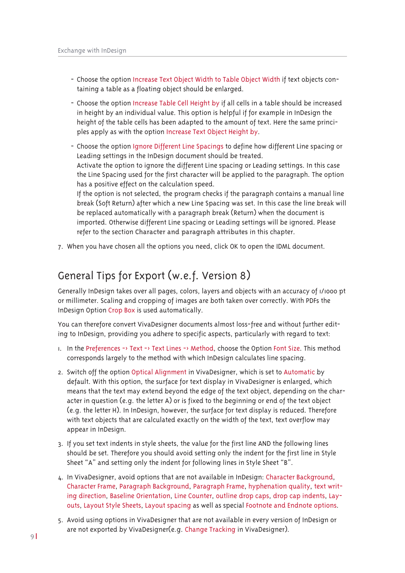- Choose the option Increase Text Object Width to Table Object Width if text objects containing a table as a floating object should be enlarged.
- Choose the option Increase Table Cell Height by if all cells in a table should be increased in height by an individual value. This option is helpful if for example in InDesign the height of the table cells has been adapted to the amount of text. Here the same principles apply as with the option Increase Text Object Height by.
- Choose the option Janore Different Line Spacings to define how different Line spacing or Leading settings in the InDesign document should be treated. Activate the option to ignore the different Line spacing or Leading settings. In this case the Line Spacing used for the first character will be applied to the paragraph. The option has a positive effect on the calculation speed. If the option is not selected, the program checks if the paragraph contains a manual line break (Soft Return) after which a new Line Spacing was set. In this case the line break will be replaced automatically with a paragraph break (Return) when the document is

imported. Otherwise different Line spacing or Leading settings will be ignored. Please refer to the section Character and paragraph attributes in this chapter.

7. When you have chosen all the options you need, click OK to open the IDML document.

## General Tips for Export (w.e.f. Version 8)

Generally InDesign takes over all pages, colors, layers and objects with an accuracy of 1/1000 pt or millimeter. Scaling and cropping of images are both taken over correctly. With PDFs the InDesign Option Crop Box is used automatically.

You can therefore convert VivaDesigner documents almost loss-free and without further editing to InDesign, providing you adhere to specific aspects, particularly with regard to text:

- I. In the Preferences -> Text -> Text Lines -> Method, choose the Option Font Size. This method corresponds largely to the method with which InDesign calculates line spacing.
- 2. Switch off the option Optical Alignment in VivaDesigner, which is set to Automatic by default. With this option, the surface for text display in VivaDesigner is enlarged, which means that the text may extend beyond the edge of the text object, depending on the character in question (e.g. the letter A) or is fixed to the beginning or end of the text object (e.g. the letter H). In InDesign, however, the surface for text display is reduced. Therefore with text objects that are calculated exactly on the width of the text, text overflow may appear in InDesign.
- 3. If you set text indents in style sheets, the value for the first line AND the following lines should be set. Therefore you should avoid setting only the indent for the first line in Style Sheet "A" and setting only the indent for following lines in Style Sheet "B".
- 4. In VivaDesigner, avoid options that are not available in InDesign: Character Background, Character Frame, Paragraph Background, Paragraph Frame, hyphenation quality, text writing direction, Baseline Orientation, Line Counter, outline drop caps, drop cap indents, Layouts, Layout Style Sheets, Layout spacing as well as special Footnote and Endnote options.
- 5. Avoid using options in VivaDesigner that are not available in every version of InDesign or are not exported by VivaDesigner(e.g. Change Tracking in VivaDesigner).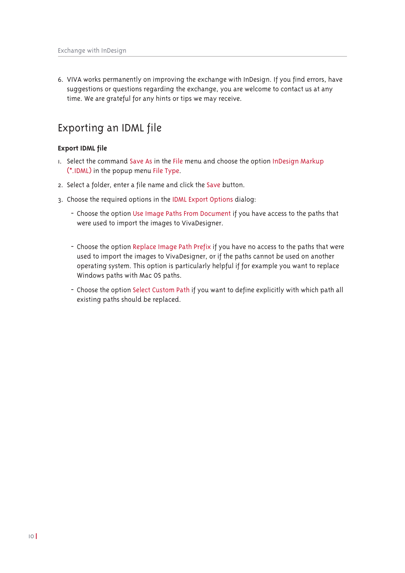6. VIVA works permanently on improving the exchange with InDesign. If you find errors, have suggestions or questions regarding the exchange, you are welcome to contact us at any time. We are grateful for any hints or tips we may receive.

## Exporting an IDML file

#### **Export IDML file**

- I. Select the command Save As in the File menu and choose the option InDesign Markup (\*.IDML) in the popup menu File Type.
- 2. Select a folder, enter a file name and click the Save button.
- 3. Choose the required options in the IDML Export Options dialog:
	- Choose the option Use Image Paths From Document if you have access to the paths that were used to import the images to VivaDesigner.
	- Choose the option Replace Image Path Prefix if you have no access to the paths that were used to import the images to VivaDesigner, or if the paths cannot be used on another operating system. This option is particularly helpful if for example you want to replace Windows paths with Mac OS paths.
	- Choose the option Select Custom Path if you want to define explicitly with which path all existing paths should be replaced.